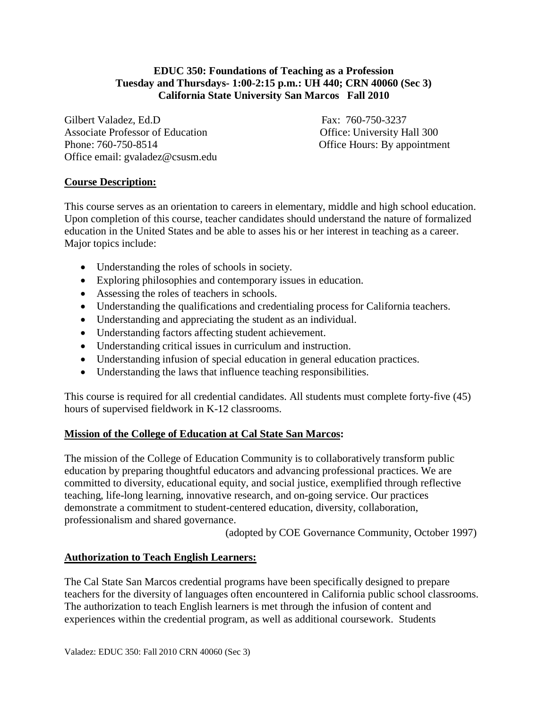### **EDUC 350: Foundations of Teaching as a Profession Tuesday and Thursdays- 1:00-2:15 p.m.: UH 440; CRN 40060 (Sec 3) California State University San Marcos Fall 2010**

Gilbert Valadez, Ed.D Fax: 760-750-3237 Associate Professor of Education **Containers** Office: University Hall 300 Phone: 760-750-8514 Office Hours: By appointment Office email: gvaladez@csusm.edu

## **Course Description:**

This course serves as an orientation to careers in elementary, middle and high school education. Upon completion of this course, teacher candidates should understand the nature of formalized education in the United States and be able to asses his or her interest in teaching as a career. Major topics include:

- Understanding the roles of schools in society.
- Exploring philosophies and contemporary issues in education.
- Assessing the roles of teachers in schools.
- Understanding the qualifications and credentialing process for California teachers.
- Understanding and appreciating the student as an individual.
- Understanding factors affecting student achievement.
- Understanding critical issues in curriculum and instruction.
- Understanding infusion of special education in general education practices.
- Understanding the laws that influence teaching responsibilities.

This course is required for all credential candidates. All students must complete forty-five (45) hours of supervised fieldwork in K-12 classrooms.

### **Mission of the College of Education at Cal State San Marcos:**

The mission of the College of Education Community is to collaboratively transform public education by preparing thoughtful educators and advancing professional practices. We are committed to diversity, educational equity, and social justice, exemplified through reflective teaching, life-long learning, innovative research, and on-going service. Our practices demonstrate a commitment to student-centered education, diversity, collaboration, professionalism and shared governance.

(adopted by COE Governance Community, October 1997)

## **Authorization to Teach English Learners:**

The Cal State San Marcos credential programs have been specifically designed to prepare teachers for the diversity of languages often encountered in California public school classrooms. The authorization to teach English learners is met through the infusion of content and experiences within the credential program, as well as additional coursework. Students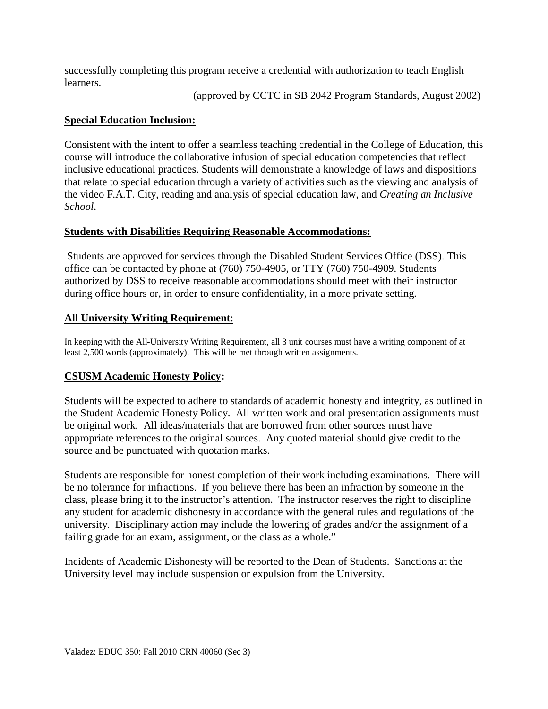successfully completing this program receive a credential with authorization to teach English learners.

(approved by CCTC in SB 2042 Program Standards, August 2002)

## **Special Education Inclusion:**

Consistent with the intent to offer a seamless teaching credential in the College of Education, this course will introduce the collaborative infusion of special education competencies that reflect inclusive educational practices. Students will demonstrate a knowledge of laws and dispositions that relate to special education through a variety of activities such as the viewing and analysis of the video F.A.T. City, reading and analysis of special education law, and *Creating an Inclusive School*.

## **Students with Disabilities Requiring Reasonable Accommodations:**

Students are approved for services through the Disabled Student Services Office (DSS). This office can be contacted by phone at (760) 750-4905, or TTY (760) 750-4909. Students authorized by DSS to receive reasonable accommodations should meet with their instructor during office hours or, in order to ensure confidentiality, in a more private setting.

# **All University Writing Requirement**:

In keeping with the All-University Writing Requirement, all 3 unit courses must have a writing component of at least 2,500 words (approximately). This will be met through written assignments.

## **CSUSM Academic Honesty Policy:**

Students will be expected to adhere to standards of academic honesty and integrity, as outlined in the Student Academic Honesty Policy. All written work and oral presentation assignments must be original work. All ideas/materials that are borrowed from other sources must have appropriate references to the original sources. Any quoted material should give credit to the source and be punctuated with quotation marks.

Students are responsible for honest completion of their work including examinations. There will be no tolerance for infractions. If you believe there has been an infraction by someone in the class, please bring it to the instructor's attention. The instructor reserves the right to discipline any student for academic dishonesty in accordance with the general rules and regulations of the university. Disciplinary action may include the lowering of grades and/or the assignment of a failing grade for an exam, assignment, or the class as a whole."

Incidents of Academic Dishonesty will be reported to the Dean of Students. Sanctions at the University level may include suspension or expulsion from the University.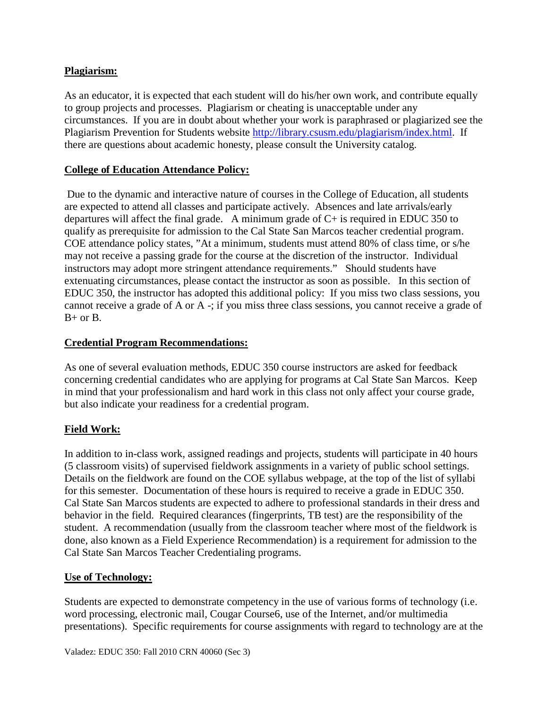## **Plagiarism:**

As an educator, it is expected that each student will do his/her own work, and contribute equally to group projects and processes. Plagiarism or cheating is unacceptable under any circumstances. If you are in doubt about whether your work is paraphrased or plagiarized see the Plagiarism Prevention for Students website [http://library.csusm.edu/plagiarism/index.html.](http://library.csusm.edu/plagiarism/index.html) If there are questions about academic honesty, please consult the University catalog.

## **College of Education Attendance Policy:**

Due to the dynamic and interactive nature of courses in the College of Education, all students are expected to attend all classes and participate actively. Absences and late arrivals/early departures will affect the final grade. A minimum grade of  $C+$  is required in EDUC 350 to qualify as prerequisite for admission to the Cal State San Marcos teacher credential program. COE attendance policy states, "At a minimum, students must attend 80% of class time, or s/he may not receive a passing grade for the course at the discretion of the instructor. Individual instructors may adopt more stringent attendance requirements." Should students have extenuating circumstances, please contact the instructor as soon as possible. In this section of EDUC 350, the instructor has adopted this additional policy: If you miss two class sessions, you cannot receive a grade of A or A -; if you miss three class sessions, you cannot receive a grade of  $B+$  or  $B$ .

## **Credential Program Recommendations:**

As one of several evaluation methods, EDUC 350 course instructors are asked for feedback concerning credential candidates who are applying for programs at Cal State San Marcos. Keep in mind that your professionalism and hard work in this class not only affect your course grade, but also indicate your readiness for a credential program.

# **Field Work:**

In addition to in-class work, assigned readings and projects, students will participate in 40 hours (5 classroom visits) of supervised fieldwork assignments in a variety of public school settings. Details on the fieldwork are found on the COE syllabus webpage, at the top of the list of syllabi for this semester. Documentation of these hours is required to receive a grade in EDUC 350. Cal State San Marcos students are expected to adhere to professional standards in their dress and behavior in the field. Required clearances (fingerprints, TB test) are the responsibility of the student. A recommendation (usually from the classroom teacher where most of the fieldwork is done, also known as a Field Experience Recommendation) is a requirement for admission to the Cal State San Marcos Teacher Credentialing programs.

## **Use of Technology:**

Students are expected to demonstrate competency in the use of various forms of technology (i.e. word processing, electronic mail, Cougar Course6, use of the Internet, and/or multimedia presentations). Specific requirements for course assignments with regard to technology are at the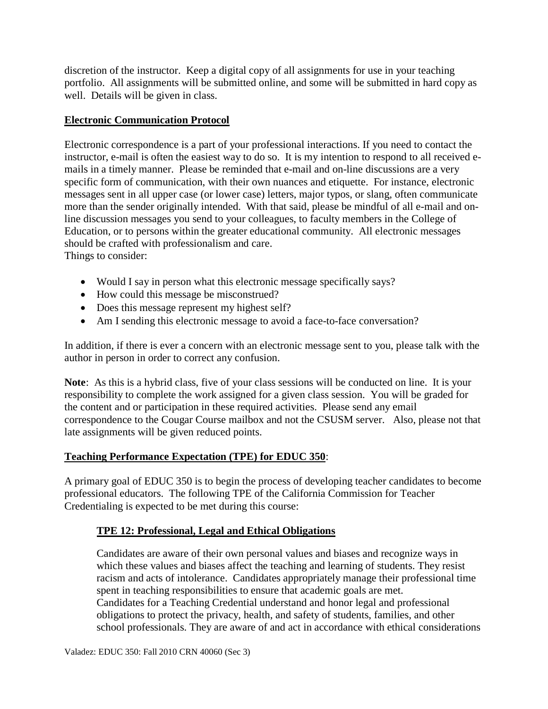discretion of the instructor. Keep a digital copy of all assignments for use in your teaching portfolio. All assignments will be submitted online, and some will be submitted in hard copy as well. Details will be given in class.

## **Electronic Communication Protocol**

Electronic correspondence is a part of your professional interactions. If you need to contact the instructor, e-mail is often the easiest way to do so. It is my intention to respond to all received emails in a timely manner. Please be reminded that e-mail and on-line discussions are a very specific form of communication, with their own nuances and etiquette. For instance, electronic messages sent in all upper case (or lower case) letters, major typos, or slang, often communicate more than the sender originally intended. With that said, please be mindful of all e-mail and online discussion messages you send to your colleagues, to faculty members in the College of Education, or to persons within the greater educational community. All electronic messages should be crafted with professionalism and care. Things to consider:

- Would I say in person what this electronic message specifically says? • How could this message be misconstrued?
- Does this message represent my highest self?
- Am I sending this electronic message to avoid a face-to-face conversation?

In addition, if there is ever a concern with an electronic message sent to you, please talk with the author in person in order to correct any confusion.

**Note**: As this is a hybrid class, five of your class sessions will be conducted on line. It is your responsibility to complete the work assigned for a given class session. You will be graded for the content and or participation in these required activities. Please send any email correspondence to the Cougar Course mailbox and not the CSUSM server. Also, please not that late assignments will be given reduced points.

# **Teaching Performance Expectation (TPE) for EDUC 350**:

A primary goal of EDUC 350 is to begin the process of developing teacher candidates to become professional educators. The following TPE of the California Commission for Teacher Credentialing is expected to be met during this course:

# **TPE 12: Professional, Legal and Ethical Obligations**

Candidates are aware of their own personal values and biases and recognize ways in which these values and biases affect the teaching and learning of students. They resist racism and acts of intolerance. Candidates appropriately manage their professional time spent in teaching responsibilities to ensure that academic goals are met. Candidates for a Teaching Credential understand and honor legal and professional obligations to protect the privacy, health, and safety of students, families, and other school professionals. They are aware of and act in accordance with ethical considerations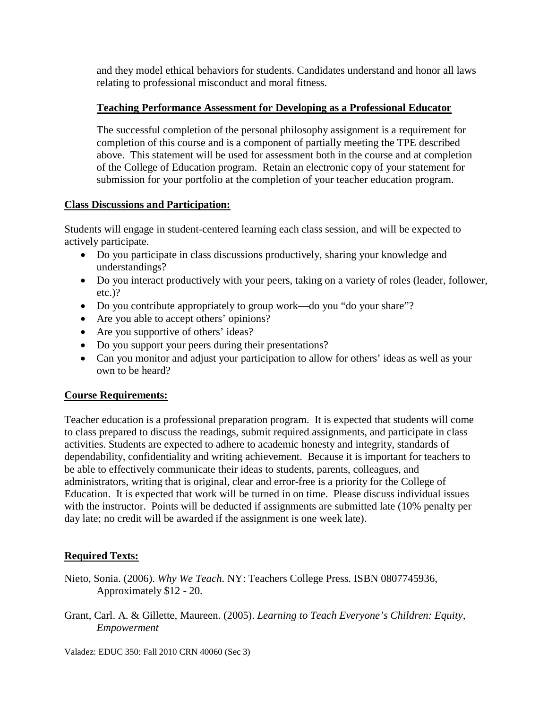and they model ethical behaviors for students. Candidates understand and honor all laws relating to professional misconduct and moral fitness.

# **Teaching Performance Assessment for Developing as a Professional Educator**

The successful completion of the personal philosophy assignment is a requirement for completion of this course and is a component of partially meeting the TPE described above. This statement will be used for assessment both in the course and at completion of the College of Education program. Retain an electronic copy of your statement for submission for your portfolio at the completion of your teacher education program.

## **Class Discussions and Participation:**

Students will engage in student-centered learning each class session, and will be expected to actively participate.

- Do you participate in class discussions productively, sharing your knowledge and understandings?
- Do you interact productively with your peers, taking on a variety of roles (leader, follower, etc.)?
- Do you contribute appropriately to group work—do you "do your share"?
- Are you able to accept others' opinions?
- Are you supportive of others' ideas?
- Do you support your peers during their presentations?
- Can you monitor and adjust your participation to allow for others' ideas as well as your own to be heard?

# **Course Requirements:**

Teacher education is a professional preparation program. It is expected that students will come to class prepared to discuss the readings, submit required assignments, and participate in class activities. Students are expected to adhere to academic honesty and integrity, standards of dependability, confidentiality and writing achievement. Because it is important for teachers to be able to effectively communicate their ideas to students, parents, colleagues, and administrators, writing that is original, clear and error-free is a priority for the College of Education. It is expected that work will be turned in on time. Please discuss individual issues with the instructor. Points will be deducted if assignments are submitted late (10% penalty per day late; no credit will be awarded if the assignment is one week late).

# **Required Texts:**

- Nieto, Sonia. (2006). *Why We Teach*. NY: Teachers College Press. ISBN 0807745936, Approximately \$12 - 20.
- Grant, Carl. A. & Gillette, Maureen. (2005). *Learning to Teach Everyone's Children: Equity, Empowerment*

Valadez: EDUC 350: Fall 2010 CRN 40060 (Sec 3)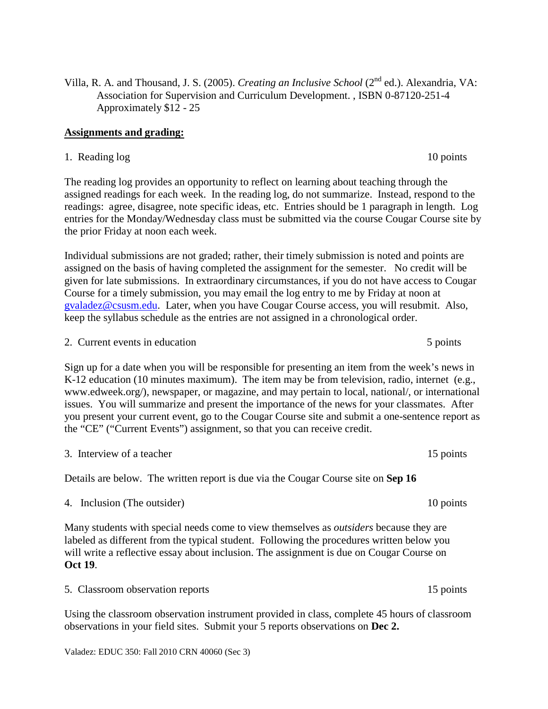Villa, R. A. and Thousand, J. S. (2005). *Creating an Inclusive School* (2nd ed.). Alexandria, VA: Association for Supervision and Curriculum Development. , ISBN 0-87120-251-4 Approximately \$12 - 25

### **Assignments and grading:**

1. Reading log 10 points

The reading log provides an opportunity to reflect on learning about teaching through the assigned readings for each week. In the reading log, do not summarize. Instead, respond to the readings: agree, disagree, note specific ideas, etc. Entries should be 1 paragraph in length. Log entries for the Monday/Wednesday class must be submitted via the course Cougar Course site by the prior Friday at noon each week.

Individual submissions are not graded; rather, their timely submission is noted and points are assigned on the basis of having completed the assignment for the semester. No credit will be given for late submissions. In extraordinary circumstances, if you do not have access to Cougar Course for a timely submission, you may email the log entry to me by Friday at noon at [gvaladez@csusm.edu.](mailto:gvaladez@csusm.edu) Later, when you have Cougar Course access, you will resubmit. Also, keep the syllabus schedule as the entries are not assigned in a chronological order.

2. Current events in education 5 points 5 points

Sign up for a date when you will be responsible for presenting an item from the week's news in K-12 education (10 minutes maximum). The item may be from television, radio, internet (e.g., www.edweek.org/), newspaper, or magazine, and may pertain to local, national/, or international issues. You will summarize and present the importance of the news for your classmates. After you present your current event, go to the Cougar Course site and submit a one-sentence report as the "CE" ("Current Events") assignment, so that you can receive credit.

3. Interview of a teacher 15 points of  $\alpha$  teacher 15 points

Details are below. The written report is due via the Cougar Course site on **Sep 16**

4. Inclusion (The outsider) 10 points

Many students with special needs come to view themselves as *outsiders* because they are labeled as different from the typical student. Following the procedures written below you will write a reflective essay about inclusion. The assignment is due on Cougar Course on **Oct 19**.

Using the classroom observation instrument provided in class, complete 45 hours of classroom observations in your field sites. Submit your 5 reports observations on **Dec 2.**

5. Classroom observation reports 15 points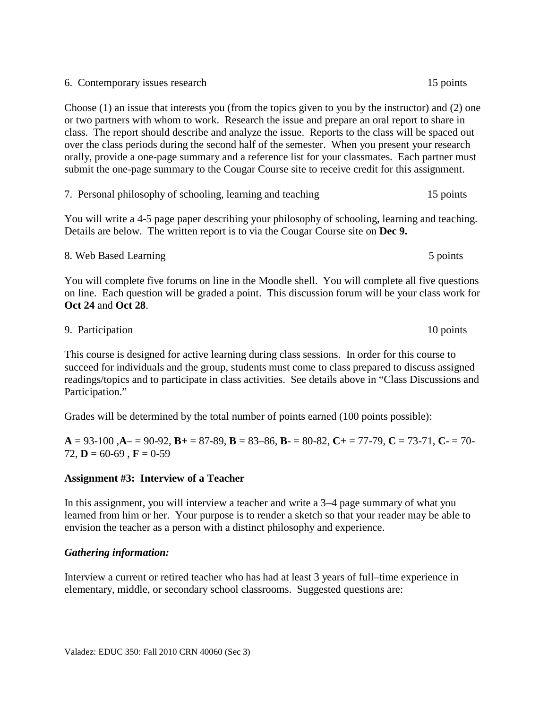6. Contemporary issues research 15 points

Choose (1) an issue that interests you (from the topics given to you by the instructor) and (2) one or two partners with whom to work. Research the issue and prepare an oral report to share in class. The report should describe and analyze the issue. Reports to the class will be spaced out over the class periods during the second half of the semester. When you present your research orally, provide a one-page summary and a reference list for your classmates. Each partner must submit the one-page summary to the Cougar Course site to receive credit for this assignment.

7. Personal philosophy of schooling, learning and teaching 15 points

You will write a 4-5 page paper describing your philosophy of schooling, learning and teaching. Details are below. The written report is to via the Cougar Course site on **Dec 9.**

### 8. Web Based Learning 5 points 5 points

You will complete five forums on line in the Moodle shell. You will complete all five questions on line. Each question will be graded a point. This discussion forum will be your class work for **Oct 24** and **Oct 28**.

9. Participation 10 points

This course is designed for active learning during class sessions. In order for this course to succeed for individuals and the group, students must come to class prepared to discuss assigned readings/topics and to participate in class activities. See details above in "Class Discussions and Participation."

Grades will be determined by the total number of points earned (100 points possible):

 $A = 93-100$ ,  $A = 90-92$ ,  $B = 87-89$ ,  $B = 83-86$ ,  $B = 80-82$ ,  $C = 77-79$ ,  $C = 73-71$ ,  $C = 70-79$ 72,  $D = 60-69$ ,  $F = 0-59$ 

### **Assignment #3: Interview of a Teacher**

In this assignment, you will interview a teacher and write a 3–4 page summary of what you learned from him or her. Your purpose is to render a sketch so that your reader may be able to envision the teacher as a person with a distinct philosophy and experience.

### *Gathering information:*

Interview a current or retired teacher who has had at least 3 years of full–time experience in elementary, middle, or secondary school classrooms. Suggested questions are: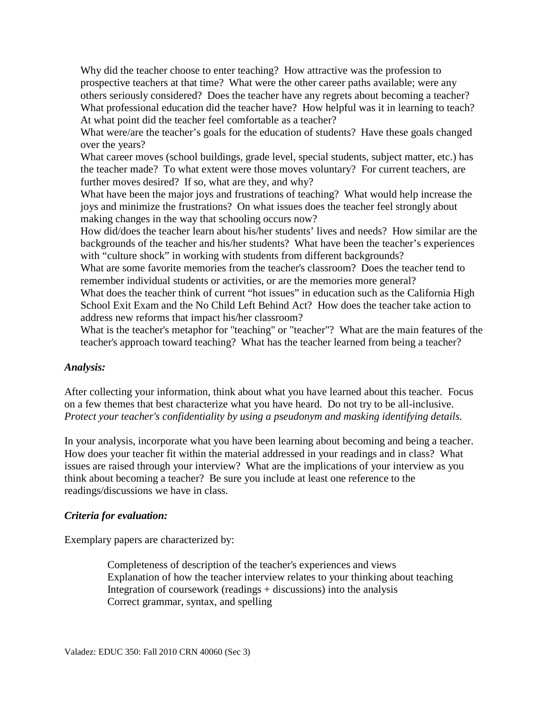Why did the teacher choose to enter teaching? How attractive was the profession to prospective teachers at that time? What were the other career paths available; were any others seriously considered? Does the teacher have any regrets about becoming a teacher? What professional education did the teacher have? How helpful was it in learning to teach? At what point did the teacher feel comfortable as a teacher?

What were/are the teacher's goals for the education of students? Have these goals changed over the years?

What career moves (school buildings, grade level, special students, subject matter, etc.) has the teacher made? To what extent were those moves voluntary? For current teachers, are further moves desired? If so, what are they, and why?

What have been the major joys and frustrations of teaching? What would help increase the joys and minimize the frustrations? On what issues does the teacher feel strongly about making changes in the way that schooling occurs now?

How did/does the teacher learn about his/her students' lives and needs? How similar are the backgrounds of the teacher and his/her students? What have been the teacher's experiences with "culture shock" in working with students from different backgrounds?

What are some favorite memories from the teacher's classroom? Does the teacher tend to remember individual students or activities, or are the memories more general?

What does the teacher think of current "hot issues" in education such as the California High School Exit Exam and the No Child Left Behind Act? How does the teacher take action to address new reforms that impact his/her classroom?

What is the teacher's metaphor for "teaching" or "teacher"? What are the main features of the teacher's approach toward teaching? What has the teacher learned from being a teacher?

## *Analysis:*

After collecting your information, think about what you have learned about this teacher. Focus on a few themes that best characterize what you have heard. Do not try to be all-inclusive. *Protect your teacher's confidentiality by using a pseudonym and masking identifying details.*

In your analysis, incorporate what you have been learning about becoming and being a teacher. How does your teacher fit within the material addressed in your readings and in class? What issues are raised through your interview? What are the implications of your interview as you think about becoming a teacher? Be sure you include at least one reference to the readings/discussions we have in class.

## *Criteria for evaluation:*

Exemplary papers are characterized by:

Completeness of description of the teacher's experiences and views Explanation of how the teacher interview relates to your thinking about teaching Integration of coursework (readings + discussions) into the analysis Correct grammar, syntax, and spelling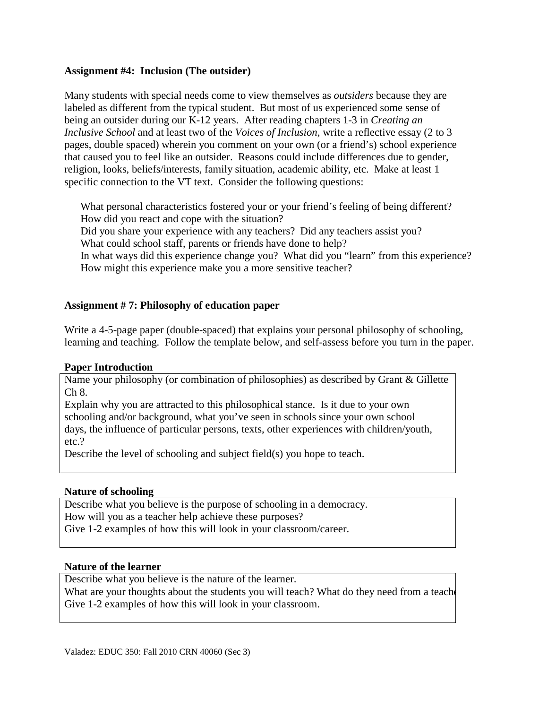### **Assignment #4: Inclusion (The outsider)**

Many students with special needs come to view themselves as *outsiders* because they are labeled as different from the typical student. But most of us experienced some sense of being an outsider during our K-12 years. After reading chapters 1-3 in *Creating an Inclusive School* and at least two of the *Voices of Inclusion*, write a reflective essay (2 to 3 pages, double spaced) wherein you comment on your own (or a friend's) school experience that caused you to feel like an outsider. Reasons could include differences due to gender, religion, looks, beliefs/interests, family situation, academic ability, etc. Make at least 1 specific connection to the VT text. Consider the following questions:

 What personal characteristics fostered your or your friend's feeling of being different? How did you react and cope with the situation?

Did you share your experience with any teachers? Did any teachers assist you? What could school staff, parents or friends have done to help?

In what ways did this experience change you? What did you "learn" from this experience? How might this experience make you a more sensitive teacher?

## **Assignment # 7: Philosophy of education paper**

Write a 4-5-page paper (double-spaced) that explains your personal philosophy of schooling, learning and teaching. Follow the template below, and self-assess before you turn in the paper.

## **Paper Introduction**

Name your philosophy (or combination of philosophies) as described by Grant & Gillette Ch 8.

Explain why you are attracted to this philosophical stance. Is it due to your own schooling and/or background, what you've seen in schools since your own school days, the influence of particular persons, texts, other experiences with children/youth, etc.?

Describe the level of schooling and subject field(s) you hope to teach.

## **Nature of schooling**

Describe what you believe is the purpose of schooling in a democracy. How will you as a teacher help achieve these purposes? Give 1-2 examples of how this will look in your classroom/career.

### **Nature of the learner**

Describe what you believe is the nature of the learner.

What are your thoughts about the students you will teach? What do they need from a teacher Give 1-2 examples of how this will look in your classroom.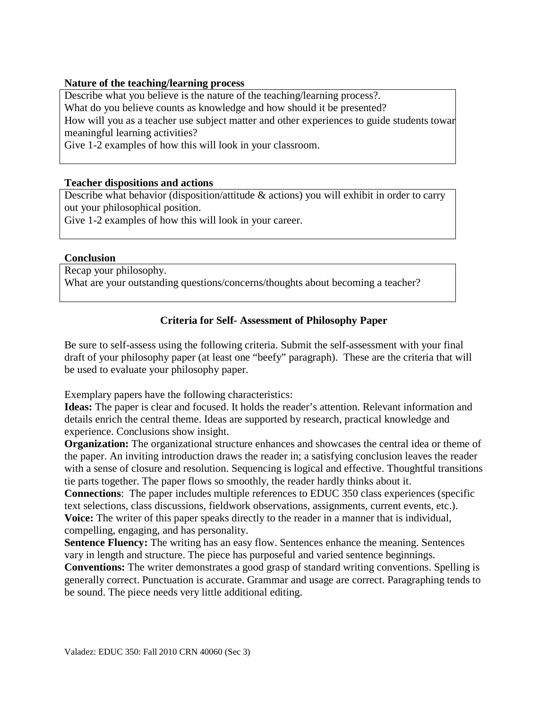### **Nature of the teaching/learning process**

Describe what you believe is the nature of the teaching/learning process?. What do you believe counts as knowledge and how should it be presented? How will you as a teacher use subject matter and other experiences to guide students toward meaningful learning activities?

Give 1-2 examples of how this will look in your classroom.

#### **Teacher dispositions and actions**

Describe what behavior (disposition/attitude & actions) you will exhibit in order to carry out your philosophical position.

Give 1-2 examples of how this will look in your career.

#### **Conclusion**

Recap your philosophy. What are your outstanding questions/concerns/thoughts about becoming a teacher?

### **Criteria for Self- Assessment of Philosophy Paper**

Be sure to self-assess using the following criteria. Submit the self-assessment with your final draft of your philosophy paper (at least one "beefy" paragraph). These are the criteria that will be used to evaluate your philosophy paper.

Exemplary papers have the following characteristics:

**Ideas:** The paper is clear and focused. It holds the reader's attention. Relevant information and details enrich the central theme. Ideas are supported by research, practical knowledge and experience. Conclusions show insight.

**Organization:** The organizational structure enhances and showcases the central idea or theme of the paper. An inviting introduction draws the reader in; a satisfying conclusion leaves the reader with a sense of closure and resolution. Sequencing is logical and effective. Thoughtful transitions tie parts together. The paper flows so smoothly, the reader hardly thinks about it.

**Connections**: The paper includes multiple references to EDUC 350 class experiences (specific text selections, class discussions, fieldwork observations, assignments, current events, etc.). **Voice:** The writer of this paper speaks directly to the reader in a manner that is individual, compelling, engaging, and has personality.

**Sentence Fluency:** The writing has an easy flow. Sentences enhance the meaning. Sentences vary in length and structure. The piece has purposeful and varied sentence beginnings.

**Conventions:** The writer demonstrates a good grasp of standard writing conventions. Spelling is generally correct. Punctuation is accurate. Grammar and usage are correct. Paragraphing tends to be sound. The piece needs very little additional editing.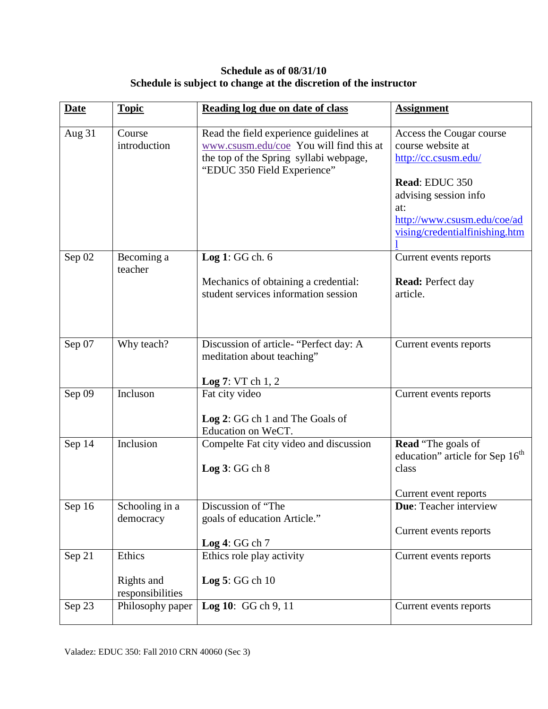## **Schedule as of 08/31/10 Schedule is subject to change at the discretion of the instructor**

| <b>Date</b> | <b>Topic</b>                         | Reading log due on date of class                                                                                                                            | <b>Assignment</b>                                                                                                                                                                        |
|-------------|--------------------------------------|-------------------------------------------------------------------------------------------------------------------------------------------------------------|------------------------------------------------------------------------------------------------------------------------------------------------------------------------------------------|
| Aug 31      | Course<br>introduction               | Read the field experience guidelines at<br>www.csusm.edu/coe You will find this at<br>the top of the Spring syllabi webpage,<br>"EDUC 350 Field Experience" | Access the Cougar course<br>course website at<br>http://cc.csusm.edu/<br>Read: EDUC 350<br>advising session info<br>at:<br>http://www.csusm.edu/coe/ad<br>vising/credentialfinishing.htm |
| Sep 02      | Becoming a                           | Log 1: $GG$ ch. $6$                                                                                                                                         | Current events reports                                                                                                                                                                   |
|             | teacher                              | Mechanics of obtaining a credential:<br>student services information session                                                                                | <b>Read:</b> Perfect day<br>article.                                                                                                                                                     |
| Sep 07      | Why teach?                           | Discussion of article- "Perfect day: A<br>meditation about teaching"<br>Log 7: VT ch 1, 2                                                                   | Current events reports                                                                                                                                                                   |
| Sep 09      | Incluson                             | Fat city video<br>Log 2: GG ch 1 and The Goals of<br>Education on WeCT.                                                                                     | Current events reports                                                                                                                                                                   |
| Sep 14      | Inclusion                            | Compelte Fat city video and discussion<br>Log 3: GG ch 8                                                                                                    | <b>Read</b> "The goals of<br>education" article for Sep 16 <sup>th</sup><br>class<br>Current event reports                                                                               |
| Sep 16      | Schooling in a<br>democracy          | Discussion of "The<br>goals of education Article."<br>Log 4: GG ch 7                                                                                        | Due: Teacher interview<br>Current events reports                                                                                                                                         |
| Sep 21      | Ethics<br>Rights and                 | Ethics role play activity<br>Log $5:GG$ ch $10$                                                                                                             | Current events reports                                                                                                                                                                   |
| Sep 23      | responsibilities<br>Philosophy paper | Log 10: GG ch 9, 11                                                                                                                                         | Current events reports                                                                                                                                                                   |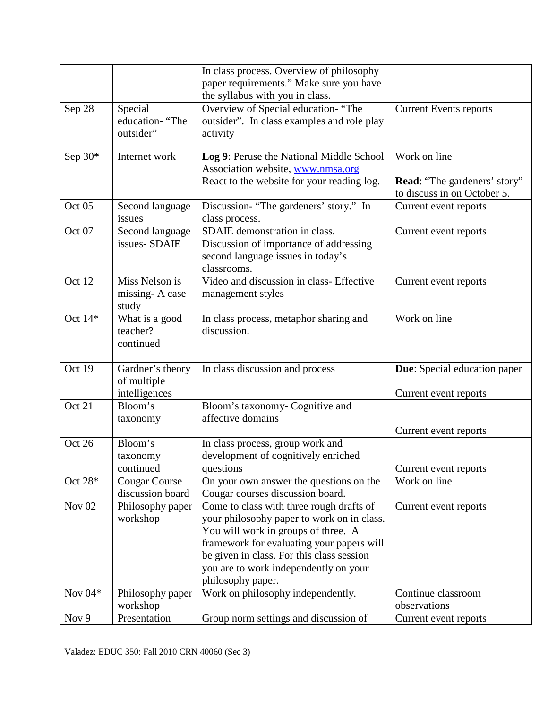|                   |                                                  | In class process. Overview of philosophy<br>paper requirements." Make sure you have<br>the syllabus with you in class.                                                                                                                                                                |                                                                                    |
|-------------------|--------------------------------------------------|---------------------------------------------------------------------------------------------------------------------------------------------------------------------------------------------------------------------------------------------------------------------------------------|------------------------------------------------------------------------------------|
| Sep 28            | Special<br>education- "The<br>outsider"          | Overview of Special education- "The<br>outsider". In class examples and role play<br>activity                                                                                                                                                                                         | <b>Current Events reports</b>                                                      |
| Sep $30*$         | Internet work                                    | Log 9: Peruse the National Middle School<br>Association website, www.nmsa.org<br>React to the website for your reading log.                                                                                                                                                           | Work on line<br><b>Read:</b> "The gardeners' story"<br>to discuss in on October 5. |
| Oct <sub>05</sub> | Second language<br>issues                        | Discussion- "The gardeners' story." In<br>class process.                                                                                                                                                                                                                              | Current event reports                                                              |
| Oct 07            | Second language<br>issues-SDAIE                  | SDAIE demonstration in class.<br>Discussion of importance of addressing<br>second language issues in today's<br>classrooms.                                                                                                                                                           | Current event reports                                                              |
| Oct 12            | Miss Nelson is<br>missing-A case<br>study        | Video and discussion in class- Effective<br>management styles                                                                                                                                                                                                                         | Current event reports                                                              |
| Oct $14*$         | What is a good<br>teacher?<br>continued          | In class process, metaphor sharing and<br>discussion.                                                                                                                                                                                                                                 | Work on line                                                                       |
| Oct 19            | Gardner's theory<br>of multiple<br>intelligences | In class discussion and process                                                                                                                                                                                                                                                       | <b>Due:</b> Special education paper<br>Current event reports                       |
| Oct 21            | Bloom's<br>taxonomy                              | Bloom's taxonomy- Cognitive and<br>affective domains                                                                                                                                                                                                                                  | Current event reports                                                              |
| Oct 26            | Bloom's<br>taxonomy<br>continued                 | In class process, group work and<br>development of cognitively enriched<br>questions                                                                                                                                                                                                  | Current event reports                                                              |
| Oct 28*           | <b>Cougar Course</b><br>discussion board         | On your own answer the questions on the<br>Cougar courses discussion board.                                                                                                                                                                                                           | Work on line                                                                       |
| Nov $02$          | Philosophy paper<br>workshop                     | Come to class with three rough drafts of<br>your philosophy paper to work on in class.<br>You will work in groups of three. A<br>framework for evaluating your papers will<br>be given in class. For this class session<br>you are to work independently on your<br>philosophy paper. | Current event reports                                                              |
| Nov $04*$         | Philosophy paper<br>workshop                     | Work on philosophy independently.                                                                                                                                                                                                                                                     | Continue classroom<br>observations                                                 |
| Nov 9             | Presentation                                     | Group norm settings and discussion of                                                                                                                                                                                                                                                 | Current event reports                                                              |